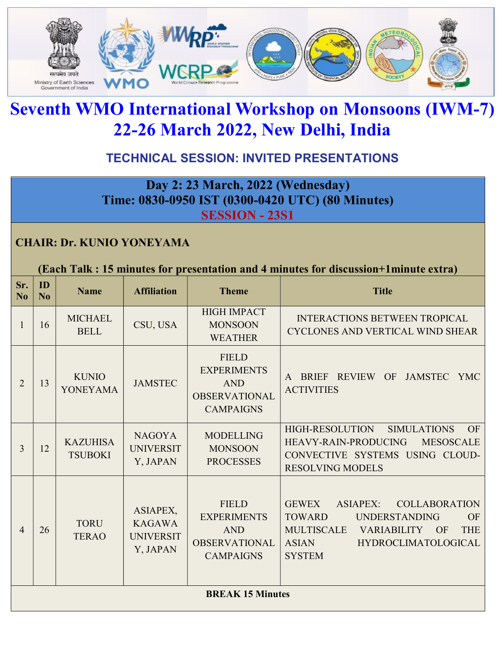

# Seventh WMO International Workshop on Monsoons (IWM-7) 22-26 March 2022, New Delhi, India

## TECHNICAL SESSION: INVITED PRESENTATIONS

Day 2: 23 March, 2022 (Wednesday) Time: 0830-0950 IST (0300-0420 UTC) (80 Minutes) SESSION - 23S1

#### CHAIR: Dr. KUNIO YONEYAMA

| Sr.<br>N <sub>o</sub>   | ID<br>No | <b>Name</b>                       | <b>Affiliation</b>                                        | <b>Theme</b>                                                                                 | <b>Title</b>                                                                                                                                                                                                                         |
|-------------------------|----------|-----------------------------------|-----------------------------------------------------------|----------------------------------------------------------------------------------------------|--------------------------------------------------------------------------------------------------------------------------------------------------------------------------------------------------------------------------------------|
| 1                       | 16       | <b>MICHAEL</b><br><b>BELL</b>     | CSU, USA                                                  | <b>HIGH IMPACT</b><br><b>MONSOON</b><br><b>WEATHER</b>                                       | <b>INTERACTIONS BETWEEN TROPICAL</b><br>CYCLONES AND VERTICAL WIND SHEAR                                                                                                                                                             |
| $\overline{2}$          | 13       | <b>KUNIO</b><br><b>YONEYAMA</b>   | <b>JAMSTEC</b>                                            | <b>FIELD</b><br><b>EXPERIMENTS</b><br><b>AND</b><br><b>OBSERVATIONAL</b><br><b>CAMPAIGNS</b> | OF<br>BRIEF REVIEW<br>JAMSTEC YMC<br><b>ACTIVITIES</b>                                                                                                                                                                               |
| 3                       | 12       | <b>KAZUHISA</b><br><b>TSUBOKI</b> | <b>NAGOYA</b><br><b>UNIVERSIT</b><br>Y, JAPAN             | <b>MODELLING</b><br><b>MONSOON</b><br><b>PROCESSES</b>                                       | <b>HIGH-RESOLUTION</b><br><b>SIMULATIONS</b><br>OF<br><b>HEAVY-RAIN-PRODUCING</b><br><b>MESOSCALE</b><br>CONVECTIVE SYSTEMS USING CLOUD-<br><b>RESOLVING MODELS</b>                                                                  |
| $\overline{4}$          | 26       | <b>TORU</b><br><b>TERAO</b>       | ASIAPEX,<br><b>KAGAWA</b><br><b>UNIVERSIT</b><br>Y, JAPAN | <b>FIELD</b><br><b>EXPERIMENTS</b><br><b>AND</b><br><b>OBSERVATIONAL</b><br><b>CAMPAIGNS</b> | <b>GEWEX</b><br><b>ASIAPEX:</b><br><b>COLLABORATION</b><br><b>TOWARD</b><br><b>UNDERSTANDING</b><br>OF<br><b>MULTISCALE</b><br><b>THE</b><br><b>VARIABILITY</b><br>OF<br><b>ASIAN</b><br><b>HYDROCLIMATOLOGICAL</b><br><b>SYSTEM</b> |
| <b>BREAK 15 Minutes</b> |          |                                   |                                                           |                                                                                              |                                                                                                                                                                                                                                      |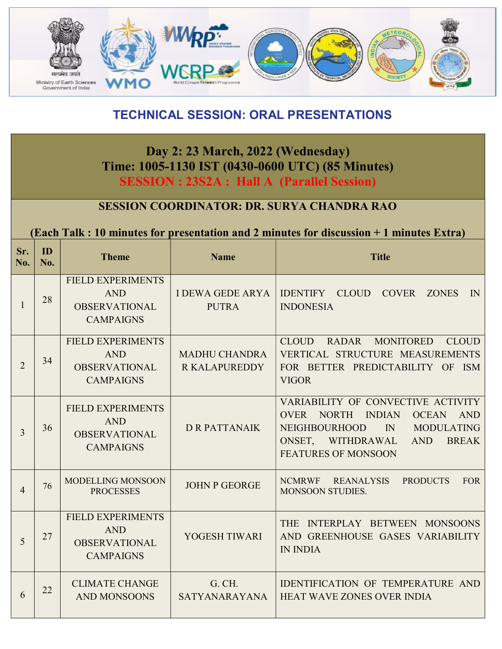

#### TECHNICAL SESSION: ORAL PRESENTATIONS

#### Day 2: 23 March, 2022 (Wednesday) Time: 1005-1130 IST (0430-0600 UTC) (85 Minutes) SESSION : 23S2A : Hall A (Parallel Session)

#### SESSION COORDINATOR: DR. SURYA CHANDRA RAO

(Each Talk : 10 minutes for presentation and 2 minutes for discussion + 1 minutes Extra)

| Sr.<br>No.     | ID<br>No. | <b>Theme</b>                                                                       | <b>Name</b>                                  | <b>Title</b>                                                                                                                                                                                                                                            |
|----------------|-----------|------------------------------------------------------------------------------------|----------------------------------------------|---------------------------------------------------------------------------------------------------------------------------------------------------------------------------------------------------------------------------------------------------------|
| $\mathbf{1}$   | 28        | <b>FIELD EXPERIMENTS</b><br><b>AND</b><br><b>OBSERVATIONAL</b><br><b>CAMPAIGNS</b> | I DEWA GEDE ARYA<br><b>PUTRA</b>             | IDENTIFY CLOUD COVER<br><b>ZONES</b><br>$\mathbb{N}$<br><b>INDONESIA</b>                                                                                                                                                                                |
| $\overline{2}$ | 34        | <b>FIELD EXPERIMENTS</b><br><b>AND</b><br><b>OBSERVATIONAL</b><br><b>CAMPAIGNS</b> | <b>MADHU CHANDRA</b><br><b>R KALAPUREDDY</b> | RADAR MONITORED CLOUD<br><b>CLOUD</b><br>VERTICAL STRUCTURE MEASUREMENTS<br>FOR BETTER PREDICTABILITY OF ISM<br><b>VIGOR</b>                                                                                                                            |
| 3              | 36        | <b>FIELD EXPERIMENTS</b><br><b>AND</b><br><b>OBSERVATIONAL</b><br><b>CAMPAIGNS</b> | <b>D R PATTANAIK</b>                         | VARIABILITY OF CONVECTIVE ACTIVITY<br><b>INDIAN</b><br><b>OVER</b><br><b>NORTH</b><br><b>OCEAN</b><br><b>AND</b><br><b>NEIGHBOURHOOD</b><br>$\mathbb{N}$<br><b>MODULATING</b><br>ONSET, WITHDRAWAL<br><b>BREAK</b><br>AND<br><b>FEATURES OF MONSOON</b> |
| $\overline{4}$ | 76        | <b>MODELLING MONSOON</b><br><b>JOHN P GEORGE</b><br><b>PROCESSES</b>               |                                              | NCMRWF REANALYSIS<br><b>PRODUCTS</b><br><b>FOR</b><br>MONSOON STUDIES.                                                                                                                                                                                  |
| 5              | 27        | <b>FIELD EXPERIMENTS</b><br><b>AND</b><br><b>OBSERVATIONAL</b><br><b>CAMPAIGNS</b> | YOGESH TIWARI                                | THE INTERPLAY BETWEEN MONSOONS<br>AND GREENHOUSE GASES VARIABILITY<br><b>IN INDIA</b>                                                                                                                                                                   |
| 6              | 22        | <b>CLIMATE CHANGE</b><br>G. CH.<br><b>AND MONSOONS</b><br>SATYANARAYANA            |                                              | IDENTIFICATION OF TEMPERATURE AND<br><b>HEAT WAVE ZONES OVER INDIA</b>                                                                                                                                                                                  |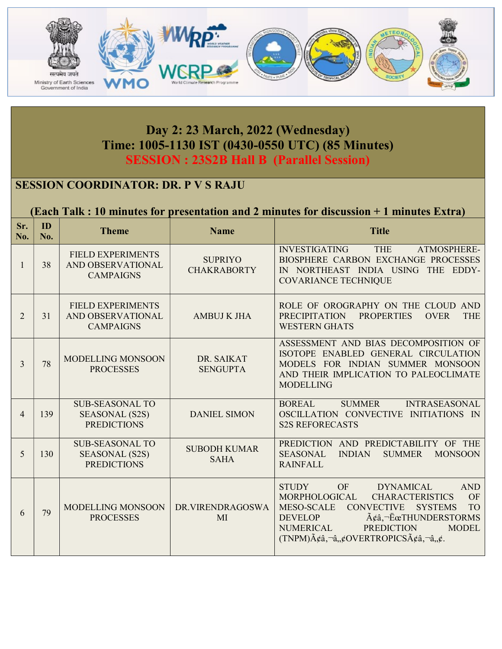

### Day 2: 23 March, 2022 (Wednesday) Time: 1005-1130 IST (0430-0550 UTC) (85 Minutes) SESSION : 23S2B Hall B (Parallel Session)

#### SESSION COORDINATOR: DR. P V S RAJU

#### (Each Talk : 10 minutes for presentation and 2 minutes for discussion + 1 minutes Extra)

| Sr.<br>No.     | ID<br>No. | <b>Theme</b>                                                                            | <b>Name</b>                          | <b>Title</b>                                                                                                                                                                                                                                                                                                                                                                                                                         |
|----------------|-----------|-----------------------------------------------------------------------------------------|--------------------------------------|--------------------------------------------------------------------------------------------------------------------------------------------------------------------------------------------------------------------------------------------------------------------------------------------------------------------------------------------------------------------------------------------------------------------------------------|
| 1              | 38        | <b>FIELD EXPERIMENTS</b><br>AND OBSERVATIONAL<br><b>CAMPAIGNS</b>                       | <b>SUPRIYO</b><br><b>CHAKRABORTY</b> | <b>THE</b><br><b>INVESTIGATING</b><br>ATMOSPHERE-<br>BIOSPHERE CARBON EXCHANGE PROCESSES<br>IN NORTHEAST INDIA USING THE EDDY-<br><b>COVARIANCE TECHNIQUE</b>                                                                                                                                                                                                                                                                        |
| $\overline{2}$ | 31        | <b>FIELD EXPERIMENTS</b><br>AND OBSERVATIONAL<br><b>AMBUJ K JHA</b><br><b>CAMPAIGNS</b> |                                      | ROLE OF OROGRAPHY ON THE CLOUD AND<br><b>PRECIPITATION</b><br><b>PROPERTIES</b><br><b>OVER</b><br><b>THE</b><br><b>WESTERN GHATS</b>                                                                                                                                                                                                                                                                                                 |
| 3              | 78        | MODELLING MONSOON<br><b>PROCESSES</b>                                                   | DR. SAIKAT<br><b>SENGUPTA</b>        | ASSESSMENT AND BIAS DECOMPOSITION OF<br>ISOTOPE ENABLED GENERAL CIRCULATION<br>MODELS FOR INDIAN SUMMER MONSOON<br>AND THEIR IMPLICATION TO PALEOCLIMATE<br><b>MODELLING</b>                                                                                                                                                                                                                                                         |
| $\overline{4}$ | 139       | <b>SUB-SEASONAL TO</b><br><b>SEASONAL (S2S)</b><br><b>PREDICTIONS</b>                   | <b>DANIEL SIMON</b>                  | <b>SUMMER</b><br><b>INTRASEASONAL</b><br><b>BOREAL</b><br>OSCILLATION CONVECTIVE INITIATIONS IN<br><b>S2S REFORECASTS</b>                                                                                                                                                                                                                                                                                                            |
| 5              | 130       | <b>SUB-SEASONAL TO</b><br><b>SEASONAL (S2S)</b><br><b>PREDICTIONS</b>                   | <b>SUBODH KUMAR</b><br><b>SAHA</b>   | PREDICTION AND PREDICTABILITY OF THE<br><b>SEASONAL</b><br><b>INDIAN</b><br><b>MONSOON</b><br><b>SUMMER</b><br><b>RAINFALL</b>                                                                                                                                                                                                                                                                                                       |
| 6              | 79        | MODELLING MONSOON<br><b>PROCESSES</b>                                                   | DR.VIRENDRAGOSWA<br>MI               | <b>AND</b><br><b>STUDY</b><br><b>OF</b><br><b>DYNAMICAL</b><br><b>CHARACTERISTICS</b><br>MORPHOLOGICAL<br>OF<br><b>MESO-SCALE</b><br><b>CONVECTIVE</b><br><b>SYSTEMS</b><br><b>TO</b><br><b>DEVELOP</b><br>$\tilde{A}\xi\hat{a}$ , $-\tilde{E}\mathbf{\alpha}$ THUNDERSTORMS<br><b>PREDICTION</b><br><b>NUMERICAL</b><br><b>MODEL</b><br>$(TNPM)\tilde{A}\xi\hat{a}, \tilde{a}, \xi OVERTROPICS\tilde{A}\xi\hat{a}, \tilde{a}, \xi.$ |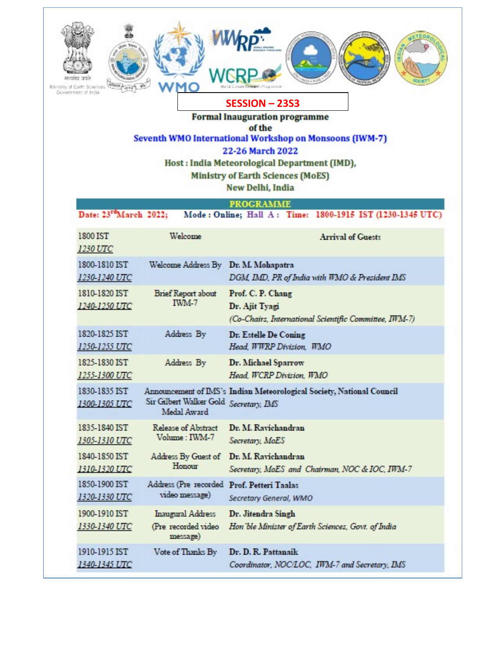| IMinistry of Earth Sciences<br>Government of India<br><b>SESSION - 23S3</b><br><b>Formal Inauguration programme</b><br>of the<br>Seventh WMO International Workshop on Monsoons (IWM-7)<br>22-26 March 2022<br>Host: India Meteorological Department (IMD),<br><b>Ministry of Earth Sciences (MoES)</b><br>New Delhi, India<br><b>PROGRAMME</b><br>Date: 23rdMarch 2022;<br>Mode: Online; Hall A: Time: 1800-1915 IST (1230-1345 UTC) |                                                             |                                                                                               |  |  |
|---------------------------------------------------------------------------------------------------------------------------------------------------------------------------------------------------------------------------------------------------------------------------------------------------------------------------------------------------------------------------------------------------------------------------------------|-------------------------------------------------------------|-----------------------------------------------------------------------------------------------|--|--|
| 1800 IST<br>1230 UTC                                                                                                                                                                                                                                                                                                                                                                                                                  | Welcome                                                     | <b>Arrival of Guests</b>                                                                      |  |  |
| 1800-1810 IST<br>1230-1240 UTC                                                                                                                                                                                                                                                                                                                                                                                                        | Welcome Address By                                          | Dr. M. Mohapatra<br>DGM, IMD, PR of India with WMO & President IMS                            |  |  |
| 1810-1820 IST<br>1240-1250 UTC                                                                                                                                                                                                                                                                                                                                                                                                        | <b>Brief Report about</b><br>IWM-7                          | Prof. C. P. Chang<br>Dr. Ajit Tyagi<br>(Co-Chairs, International Scientific Committee, IWM-7) |  |  |
| 1820-1825 IST<br>1250-1255 UTC                                                                                                                                                                                                                                                                                                                                                                                                        | Address By                                                  | Dr. Estelle De Coning<br>Head, WWRP Division, WMO                                             |  |  |
| 1825-1830 IST<br>1255-1300 UTC                                                                                                                                                                                                                                                                                                                                                                                                        | Address By                                                  | Dr. Michael Sparrow<br>Head, WCRP Division, WMO                                               |  |  |
| 1830-1835 IST<br>1300-1305 UTC                                                                                                                                                                                                                                                                                                                                                                                                        | Sir Gilbert Walker Gold Secretary, IMS<br>Medal Award       | Announcement of IMS's Indian Meteorological Society, National Council                         |  |  |
| 1835-1840 IST<br>1305-1310 UTC                                                                                                                                                                                                                                                                                                                                                                                                        | Release of Abstract<br>Volume: IWM-7                        | Dr. M. Ravichandran<br>Secretary, MoES                                                        |  |  |
| 1840-1850 IST<br>1310-1320 UTC                                                                                                                                                                                                                                                                                                                                                                                                        | Address By Guest of<br>Honour                               | Dr. M. Ravichandran<br>Secretary, MoES and Chairman, NOC & IOC, IWM-7                         |  |  |
| 1850-1900 IST<br>1320-1330 UTC                                                                                                                                                                                                                                                                                                                                                                                                        | Address (Pre recorded<br>video message)                     | Prof. Petteri Taalas<br>Secretary General, WMO                                                |  |  |
| 1900-1910 IST<br>1330-1340 UTC                                                                                                                                                                                                                                                                                                                                                                                                        | <b>Inaugural Address</b><br>(Pre recorded video<br>message) | Dr. Jitendra Singh<br>Hon 'ble Minister of Earth Sciences, Govt. of India                     |  |  |
| 1910-1915 IST<br>1340-1345 UTC                                                                                                                                                                                                                                                                                                                                                                                                        | Vote of Thanks By                                           | Dr. D. R. Pattanaik<br>Coordinator, NOC/LOC, IWM-7 and Secretary, IMS                         |  |  |